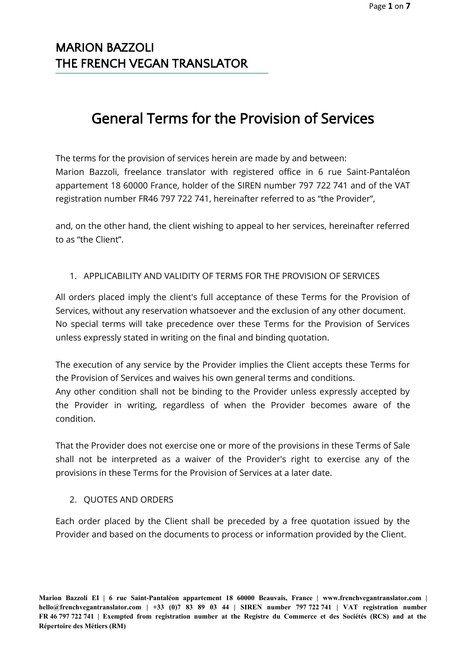# General Terms for the Provision of Services

The terms for the provision of services herein are made by and between: Marion Bazzoli, freelance translator with registered office in 6 rue Saint-Pantaléon appartement 18 60000 France, holder of the SIREN number 797 722 741 and of the VAT registration number FR46 797 722 741, hereinafter referred to as "the Provider",

and, on the other hand, the client wishing to appeal to her services, hereinafter referred to as "the Client".

### 1. APPLICABILITY AND VALIDITY OF TERMS FOR THE PROVISION OF SERVICES

All orders placed imply the client's full acceptance of these Terms for the Provision of Services, without any reservation whatsoever and the exclusion of any other document. No special terms will take precedence over these Terms for the Provision of Services unless expressly stated in writing on the final and binding quotation.

The execution of any service by the Provider implies the Client accepts these Terms for the Provision of Services and waives his own general terms and conditions. Any other condition shall not be binding to the Provider unless expressly accepted by the Provider in writing, regardless of when the Provider becomes aware of the condition.

That the Provider does not exercise one or more of the provisions in these Terms of Sale shall not be interpreted as a waiver of the Provider's right to exercise any of the provisions in these Terms for the Provision of Services at a later date.

### 2. QUOTES AND ORDERS

Each order placed by the Client shall be preceded by a free quotation issued by the Provider and based on the documents to process or information provided by the Client.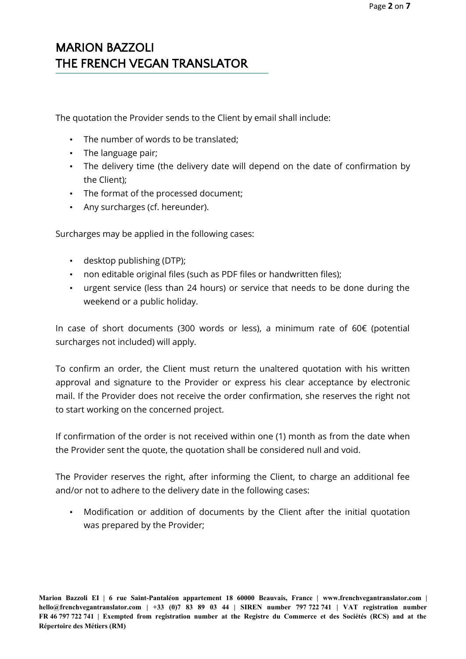The quotation the Provider sends to the Client by email shall include:

- The number of words to be translated;
- The language pair;
- The delivery time (the delivery date will depend on the date of confirmation by the Client);
- The format of the processed document;
- Any surcharges (cf. hereunder).

Surcharges may be applied in the following cases:

- desktop publishing (DTP);
- non editable original files (such as PDF files or handwritten files);
- urgent service (less than 24 hours) or service that needs to be done during the weekend or a public holiday.

In case of short documents (300 words or less), a minimum rate of 60€ (potential surcharges not included) will apply.

To confirm an order, the Client must return the unaltered quotation with his written approval and signature to the Provider or express his clear acceptance by electronic mail. If the Provider does not receive the order confirmation, she reserves the right not to start working on the concerned project.

If confirmation of the order is not received within one (1) month as from the date when the Provider sent the quote, the quotation shall be considered null and void.

The Provider reserves the right, after informing the Client, to charge an additional fee and/or not to adhere to the delivery date in the following cases:

• Modification or addition of documents by the Client after the initial quotation was prepared by the Provider;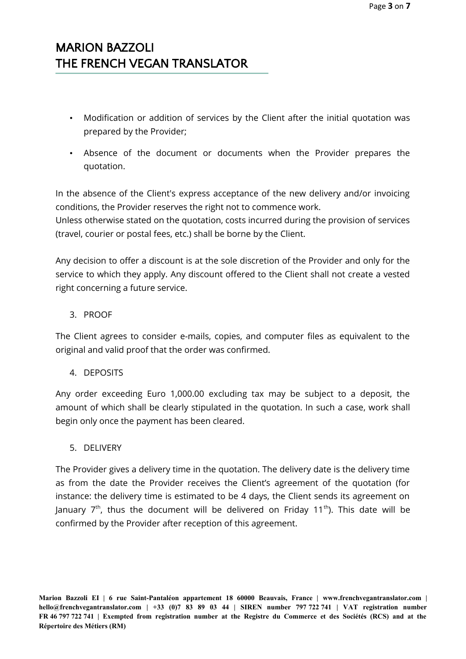- Modification or addition of services by the Client after the initial quotation was prepared by the Provider;
- Absence of the document or documents when the Provider prepares the quotation.

In the absence of the Client's express acceptance of the new delivery and/or invoicing conditions, the Provider reserves the right not to commence work.

Unless otherwise stated on the quotation, costs incurred during the provision of services (travel, courier or postal fees, etc.) shall be borne by the Client.

Any decision to offer a discount is at the sole discretion of the Provider and only for the service to which they apply. Any discount offered to the Client shall not create a vested right concerning a future service.

### 3. PROOF

The Client agrees to consider e-mails, copies, and computer files as equivalent to the original and valid proof that the order was confirmed.

### 4. DEPOSITS

Any order exceeding Euro 1,000.00 excluding tax may be subject to a deposit, the amount of which shall be clearly stipulated in the quotation. In such a case, work shall begin only once the payment has been cleared.

### 5. DELIVERY

The Provider gives a delivery time in the quotation. The delivery date is the delivery time as from the date the Provider receives the Client's agreement of the quotation (for instance: the delivery time is estimated to be 4 days, the Client sends its agreement on January  $7<sup>th</sup>$ , thus the document will be delivered on Friday 11<sup>th</sup>). This date will be confirmed by the Provider after reception of this agreement.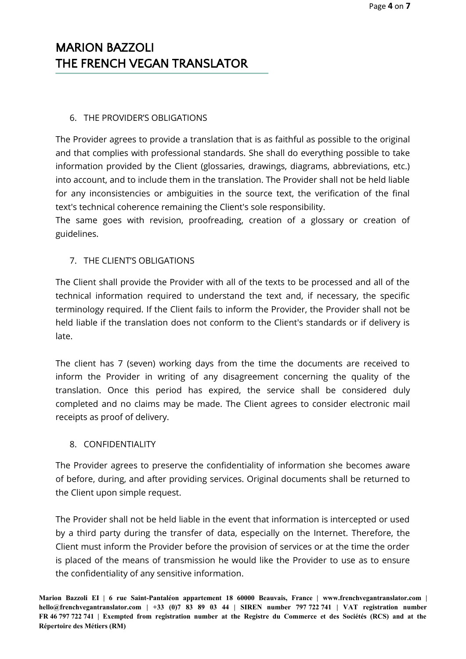#### 6. THE PROVIDER'S OBLIGATIONS

The Provider agrees to provide a translation that is as faithful as possible to the original and that complies with professional standards. She shall do everything possible to take information provided by the Client (glossaries, drawings, diagrams, abbreviations, etc.) into account, and to include them in the translation. The Provider shall not be held liable for any inconsistencies or ambiguities in the source text, the verification of the final text's technical coherence remaining the Client's sole responsibility.

The same goes with revision, proofreading, creation of a glossary or creation of guidelines.

### 7. THE CLIENT'S OBLIGATIONS

The Client shall provide the Provider with all of the texts to be processed and all of the technical information required to understand the text and, if necessary, the specific terminology required. If the Client fails to inform the Provider, the Provider shall not be held liable if the translation does not conform to the Client's standards or if delivery is late.

The client has 7 (seven) working days from the time the documents are received to inform the Provider in writing of any disagreement concerning the quality of the translation. Once this period has expired, the service shall be considered duly completed and no claims may be made. The Client agrees to consider electronic mail receipts as proof of delivery.

### 8. CONFIDENTIALITY

The Provider agrees to preserve the confidentiality of information she becomes aware of before, during, and after providing services. Original documents shall be returned to the Client upon simple request.

The Provider shall not be held liable in the event that information is intercepted or used by a third party during the transfer of data, especially on the Internet. Therefore, the Client must inform the Provider before the provision of services or at the time the order is placed of the means of transmission he would like the Provider to use as to ensure the confidentiality of any sensitive information.

**Marion Bazzoli EI | 6 rue Saint-Pantaléon appartement 18 60000 Beauvais, France | [www.frenchvegantranslator.com](http://www.frenchvegantranslator.com/) | hello@frenchvegantranslator.com | +33 (0)7 83 89 03 44 | SIREN number 797 722 741 | VAT registration number FR 46 797 722 741 | Exempted from registration number at the Registre du Commerce et des Sociétés (RCS) and at the Répertoire des Métiers (RM)**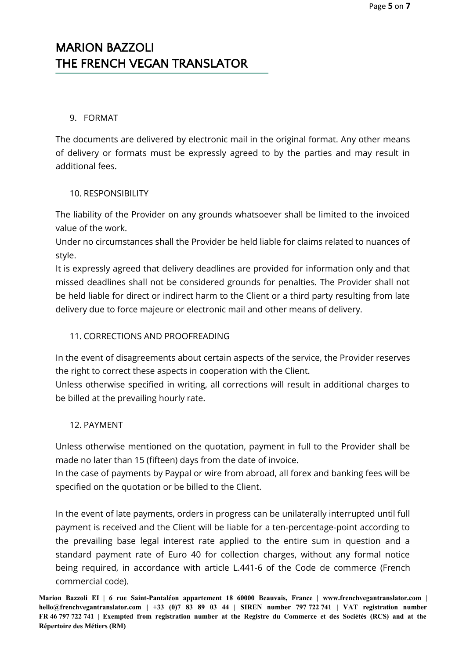### 9. FORMAT

The documents are delivered by electronic mail in the original format. Any other means of delivery or formats must be expressly agreed to by the parties and may result in additional fees.

### 10. RESPONSIBILITY

The liability of the Provider on any grounds whatsoever shall be limited to the invoiced value of the work.

Under no circumstances shall the Provider be held liable for claims related to nuances of style.

It is expressly agreed that delivery deadlines are provided for information only and that missed deadlines shall not be considered grounds for penalties. The Provider shall not be held liable for direct or indirect harm to the Client or a third party resulting from late delivery due to force majeure or electronic mail and other means of delivery.

### 11. CORRECTIONS AND PROOFREADING

In the event of disagreements about certain aspects of the service, the Provider reserves the right to correct these aspects in cooperation with the Client.

Unless otherwise specified in writing, all corrections will result in additional charges to be billed at the prevailing hourly rate.

### 12. PAYMENT

Unless otherwise mentioned on the quotation, payment in full to the Provider shall be made no later than 15 (fifteen) days from the date of invoice.

In the case of payments by Paypal or wire from abroad, all forex and banking fees will be specified on the quotation or be billed to the Client.

In the event of late payments, orders in progress can be unilaterally interrupted until full payment is received and the Client will be liable for a ten-percentage-point according to the prevailing base legal interest rate applied to the entire sum in question and a standard payment rate of Euro 40 for collection charges, without any formal notice being required, in accordance with article L.441-6 of the Code de commerce (French commercial code).

**Marion Bazzoli EI | 6 rue Saint-Pantaléon appartement 18 60000 Beauvais, France | [www.frenchvegantranslator.com](http://www.frenchvegantranslator.com/) | hello@frenchvegantranslator.com | +33 (0)7 83 89 03 44 | SIREN number 797 722 741 | VAT registration number FR 46 797 722 741 | Exempted from registration number at the Registre du Commerce et des Sociétés (RCS) and at the Répertoire des Métiers (RM)**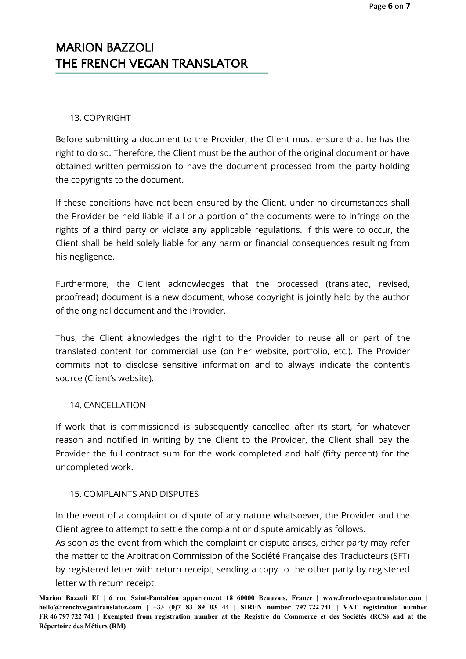### 13. COPYRIGHT

Before submitting a document to the Provider, the Client must ensure that he has the right to do so. Therefore, the Client must be the author of the original document or have obtained written permission to have the document processed from the party holding the copyrights to the document.

If these conditions have not been ensured by the Client, under no circumstances shall the Provider be held liable if all or a portion of the documents were to infringe on the rights of a third party or violate any applicable regulations. If this were to occur, the Client shall be held solely liable for any harm or financial consequences resulting from his negligence.

Furthermore, the Client acknowledges that the processed (translated, revised, proofread) document is a new document, whose copyright is jointly held by the author of the original document and the Provider.

Thus, the Client aknowledges the right to the Provider to reuse all or part of the translated content for commercial use (on her website, portfolio, etc.). The Provider commits not to disclose sensitive information and to always indicate the content's source (Client's website).

### 14. CANCELLATION

If work that is commissioned is subsequently cancelled after its start, for whatever reason and notified in writing by the Client to the Provider, the Client shall pay the Provider the full contract sum for the work completed and half (fifty percent) for the uncompleted work.

#### 15. COMPLAINTS AND DISPUTES

In the event of a complaint or dispute of any nature whatsoever, the Provider and the Client agree to attempt to settle the complaint or dispute amicably as follows.

As soon as the event from which the complaint or dispute arises, either party may refer the matter to the Arbitration Commission of the Société Française des Traducteurs (SFT) by registered letter with return receipt, sending a copy to the other party by registered letter with return receipt.

**Marion Bazzoli EI | 6 rue Saint-Pantaléon appartement 18 60000 Beauvais, France | [www.frenchvegantranslator.com](http://www.frenchvegantranslator.com/) | hello@frenchvegantranslator.com | +33 (0)7 83 89 03 44 | SIREN number 797 722 741 | VAT registration number FR 46 797 722 741 | Exempted from registration number at the Registre du Commerce et des Sociétés (RCS) and at the Répertoire des Métiers (RM)**